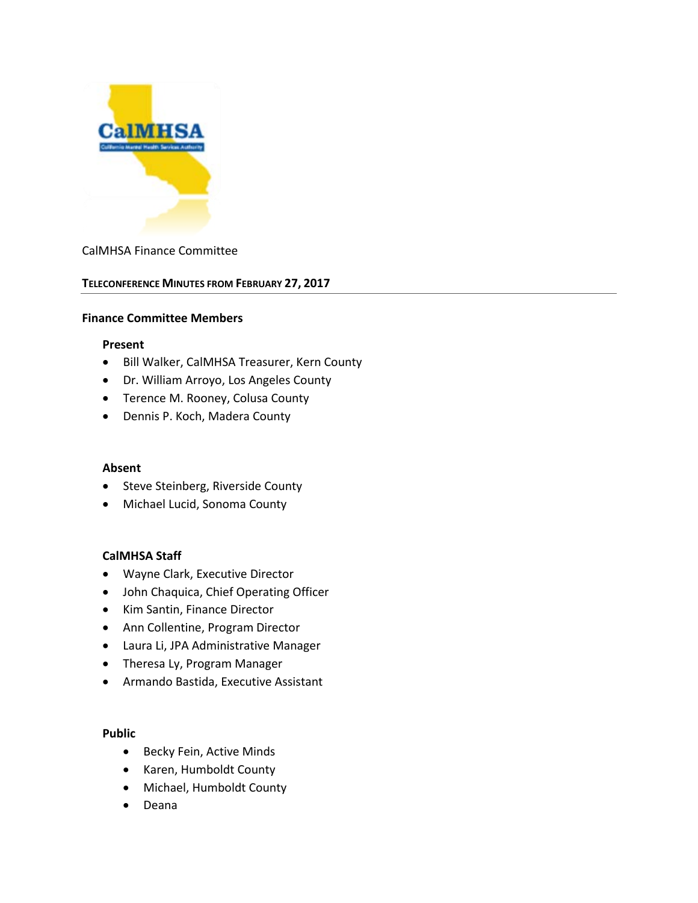

## CalMHSA Finance Committee

### **TELECONFERENCE MINUTES FROM FEBRUARY 27, 2017**

#### **Finance Committee Members**

### **Present**

- Bill Walker, CalMHSA Treasurer, Kern County
- Dr. William Arroyo, Los Angeles County
- Terence M. Rooney, Colusa County
- Dennis P. Koch, Madera County

### **Absent**

- Steve Steinberg, Riverside County
- Michael Lucid, Sonoma County

### **CalMHSA Staff**

- Wayne Clark, Executive Director
- John Chaquica, Chief Operating Officer
- Kim Santin, Finance Director
- Ann Collentine, Program Director
- Laura Li, JPA Administrative Manager
- Theresa Ly, Program Manager
- Armando Bastida, Executive Assistant

### **Public**

- Becky Fein, Active Minds
- Karen, Humboldt County
- Michael, Humboldt County
- Deana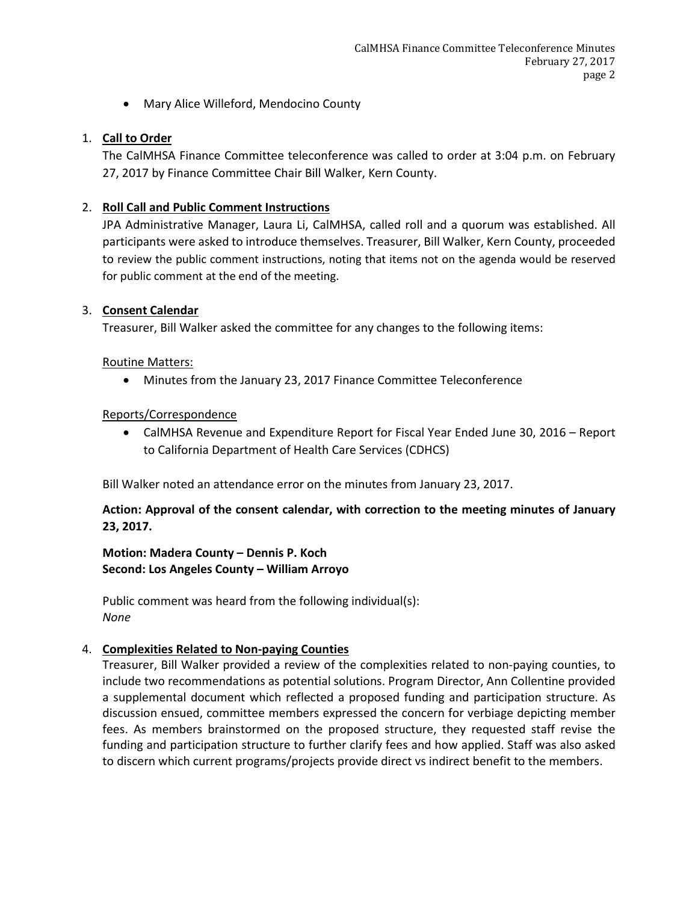• Mary Alice Willeford, Mendocino County

# 1. **Call to Order**

The CalMHSA Finance Committee teleconference was called to order at 3:04 p.m. on February 27, 2017 by Finance Committee Chair Bill Walker, Kern County.

# 2. **Roll Call and Public Comment Instructions**

JPA Administrative Manager, Laura Li, CalMHSA, called roll and a quorum was established. All participants were asked to introduce themselves. Treasurer, Bill Walker, Kern County, proceeded to review the public comment instructions, noting that items not on the agenda would be reserved for public comment at the end of the meeting.

# 3. **Consent Calendar**

Treasurer, Bill Walker asked the committee for any changes to the following items:

# Routine Matters:

• Minutes from the January 23, 2017 Finance Committee Teleconference

# Reports/Correspondence

• CalMHSA Revenue and Expenditure Report for Fiscal Year Ended June 30, 2016 – Report to California Department of Health Care Services (CDHCS)

Bill Walker noted an attendance error on the minutes from January 23, 2017.

**Action: Approval of the consent calendar, with correction to the meeting minutes of January 23, 2017.**

**Motion: Madera County – Dennis P. Koch Second: Los Angeles County – William Arroyo**

Public comment was heard from the following individual(s): *None*

# 4. **Complexities Related to Non-paying Counties**

Treasurer, Bill Walker provided a review of the complexities related to non-paying counties, to include two recommendations as potential solutions. Program Director, Ann Collentine provided a supplemental document which reflected a proposed funding and participation structure. As discussion ensued, committee members expressed the concern for verbiage depicting member fees. As members brainstormed on the proposed structure, they requested staff revise the funding and participation structure to further clarify fees and how applied. Staff was also asked to discern which current programs/projects provide direct vs indirect benefit to the members.